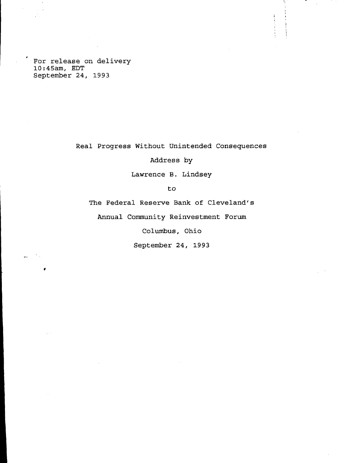**For release on delivery 10:45am, EDT September 24, 1993**

**Real Progress Without Unintended Consequences**

**Address by**

**Lawrence B. Lindsey**

**to**

**The Federal Reserve Bank of Cleveland's**

**Annual Community Reinvestment Forum**

**Columbus, Ohio**

**September 24, 1993**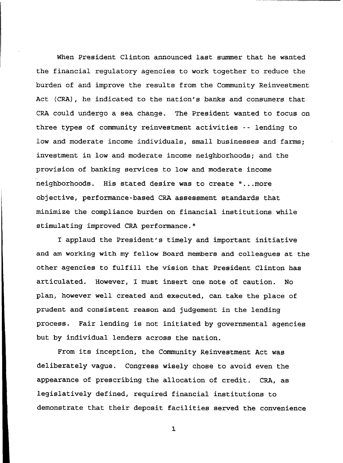**When President Clinton announced last summer that he wanted the financial regulatory agencies to work together to reduce the burden of and improve the results from the Community Reinvestment Act (CRA), he indicated to the nation's banks and consumers that CRA could undergo a sea change. The President wanted to focus on three types of community reinvestment activities - - lending to low and moderate income individuals, small businesses and farms; investment in low and moderate income neighborhoods; and the provision of banking services to low and moderate income neighborhoods. His stated desire was to create "...more objective, performance-based CRA assessment standards that minimize the compliance burden on financial institutions while stimulating improved CRA performance."**

**I applaud the President's timely and important initiative and am working with my fellow Board members and colleagues at the other agencies to fulfill the vision that President Clinton has articulated. However, I must insert one note of caution. No plan, however well created and executed, can take the place of prudent and consistent reason and judgement in the lending process. Fair lending is not initiated by governmental agencies but by individual lenders across the nation.**

**From its inception, the Community Reinvestment Act was deliberately vague. Congress wisely chose to avoid even the appearance of prescribing the allocation of credit. CRA, as legislatively defined, required financial institutions to demonstrate that their deposit facilities served the convenience**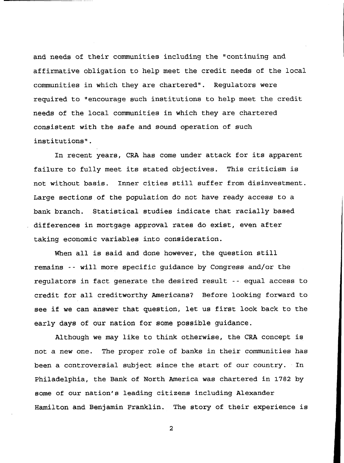**and needs of their communities including the "continuing and affirmative obligation to help meet the credit needs of the local communities in which they are chartered". Regulators were required to "encourage such institutions to help meet the credit needs of the local communities in which they are chartered consistent with the safe and sound operation of such institutions".**

**In recent years, CRA has come under attack for its apparent failure to fully meet its stated objectives. This criticism is not without basis. Inner cities still suffer from disinvestment. Large sections of the population do not have ready access to a bank branch. Statistical studies indicate that racially based differences in mortgage approval rates do exist, even after taking economic variables into consideration.**

**When all is said and done however, the question still remains -- will more specific guidance by Congress and/or the regulators in fact generate the desired result -- equal access to credit for all creditworthy Americans? Before looking forward to see if we can answer that question, let us first look back to the early days of our nation for some possible guidance.**

**Although we may like to think otherwise, the CRA concept is not a new one. The proper role of banks in their communities has been a controversial subject since the start of our country. In Philadelphia, the Bank of North America was chartered in 1782 by some of our nation's leading citizens including Alexander Hamilton and Benjamin Franklin. The story of their experience is**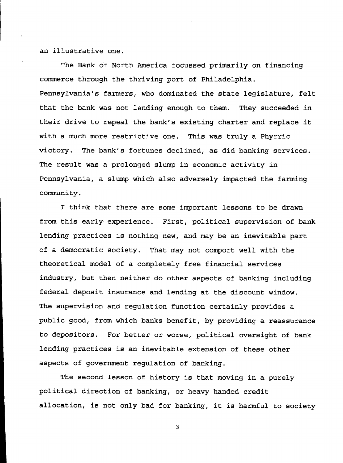**an illustrative one.**

**The Bank of North America focussed primarily on financing commerce through the thriving port of Philadelphia. Pennsylvania's farmers, who dominated the state legislature, felt that the bank was not lending enough to them. They succeeded in their drive to repeal the bank's existing charter and replace it with a much more restrictive one. This was truly a Phyrric victory. The bank's fortunes declined, as did banking services. The result was a prolonged slump in economic activity in Pennsylvania, a slump which also adversely impacted the farming community.**

**I think that there are some important lessons to be drawn from this early experience. First, political supervision of bank lending practices is nothing new, and may be an inevitable part of a democratic society. That may not comport well with the theoretical model of a completely free financial services industry, but then neither do other aspects of banking including federal deposit insurance and lending at the discount window. The supervision and regulation function certainly provides a public good, from which banks benefit, by providing a reassurance to depositors. For better or worse, political oversight of bank lending practices is an inevitable extension of these other aspects of government regulation of banking.**

**The second lesson of history is that moving in a purely political direction of banking, or heavy handed credit allocation, is not only bad for banking, it is harmful to society**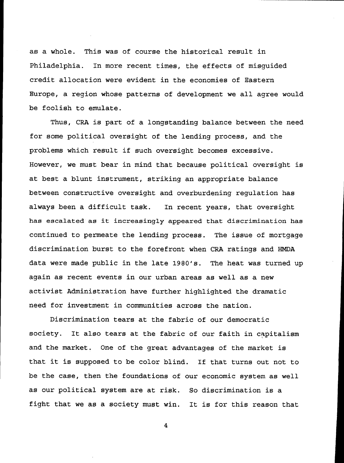**as a whole. This was of course the historical result in Philadelphia. In more recent times, the effects of misguided credit allocation were evident in the economies of Eastern Europe, a region whose patterns of development we all agree would be foolish to emulate.**

**Thus, CRA is part of a longstanding balance between the need for some political oversight of the lending process, and the problems which result if such oversight becomes excessive. However, we must bear in mind that because political oversight is at best a blunt instrument, striking an appropriate balance between constructive oversight and overburdening regulation has always been a difficult task. In recent years, that oversight has escalated as it increasingly appeared that discrimination has continued to permeate the lending process. The issue of mortgage discrimination burst to the forefront when CRA ratings and HMDA data were made public in the late 1980's. The heat was turned up again as recent events in our urban areas as well as a new activist Administration have further highlighted the dramatic need for investment in communities across the nation.**

**Discrimination tears at the fabric of our democratic society. It also tears at the fabric of our faith in capitalism and the market. One of the great advantages of the market is that it is supposed to be color blind. If that turns out not to be the case, then the foundations of our economic system as well as our political system are at risk. So discrimination is a fight that we as a society must win. It is for this reason that**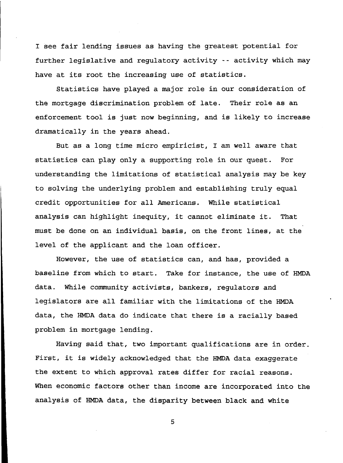**I see fair lending issues as having the greatest potential for further legislative and regulatory activity - - activity which may have at its root the increasing use of statistics.**

**Statistics have played a major role in our consideration of the mortgage discrimination problem of late. Their role as an enforcement tool is just now beginning, and is likely to increase dramatically in the years ahead.**

**But as a long time micro empiricist, I am well aware that statistics can play only a supporting role in our quest. For understanding the limitations of statistical analysis may be key to solving the underlying problem and establishing truly equal credit opportunities for all Americans. While statistical analysis can highlight inequity, it cannot eliminate it. That must be done on an individual basis, on the front lines, at the level of the applicant and the loan officer.**

**However, the use of statistics can, and has, provided a baseline from which to start. Take for instance, the use of HMDA data. While community activists, bankers, regulators and legislators are all familiar with the limitations of the HMDA data, the HMDA data do indicate that there is a racially based problem in mortgage lending.**

**Having said that, two important qualifications are in order. First, it is widely acknowledged that the HMDA data exaggerate the extent to which approval rates differ for racial reasons. When economic factors other than income are incorporated into the analysis of HMDA data, the disparity between black and white**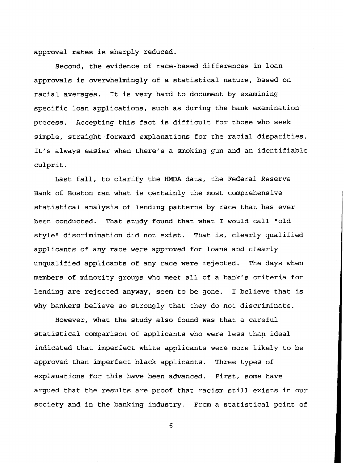**approval rates is sharply reduced.**

**Second, the evidence of race-based differences in loan approvals is overwhelmingly of a statistical nature, based on racial averages. It is very hard to document by examining specific loan applications, such as during the bank examination process. Accepting this fact is difficult for those who seek simple, straight-forward explanations for the racial disparities. It's always easier when there's a smoking gun and an identifiable culprit.**

**Last fall, to clarify the HMDA data, the Federal Reserve Bank of Boston ran what is certainly the most comprehensive statistical analysis of lending patterns by race that has ever been conducted. That study found that what I would call "old style" discrimination did not exist. That is, clearly qualified applicants of any race were approved for loans and clearly unqualified applicants of any race were rejected. The days when members of minority groups who meet all of a bank's criteria for lending are rejected anyway, seem to be gone. I believe that is why bankers believe so strongly that they do not discriminate.**

**However, what the study also found was that a careful statistical comparison of applicants who were less than ideal indicated that imperfect white applicants were more likely to be approved than imperfect black applicants. Three types of explanations for this have been advanced. First, some have argued that the results are proof that racism still exists in our society and in the banking industry. From a statistical point of**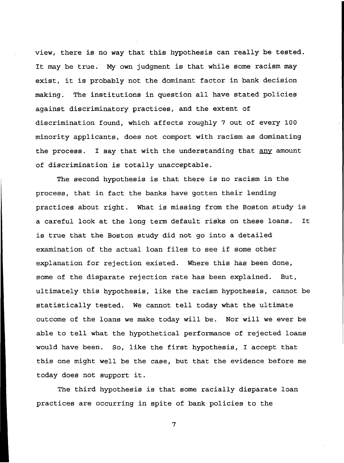**view, there is no way that this hypothesis can really be tested. It may be true. My own judgment is that while some racism may exist, it is probably not the dominant factor in bank decision making. The institutions in question all have stated policies against discriminatory practices, and the extent of discrimination found, which affects roughly 7 out of every 100 minority applicants, does not comport with racism as dominating the process. I say that with the understanding that any amount of discrimination is totally unacceptable.**

**The second hypothesis is that there is no racism in the process, that in fact the banks have gotten their lending practices about right. What is missing from the Boston study is a careful look at the long term default risks on these loans. It is true that the Boston study did not go into a detailed examination of the actual loan files to see if some other explanation for rejection existed. Where this has been done, some of the disparate rejection rate has been explained. But, ultimately this hypothesis, like the racism hypothesis, cannot be statistically tested. We cannot tell today what the ultimate outcome of the loans we make today will be. Nor will we ever be able to tell what the hypothetical performance of rejected loans would have been. So, like the first hypothesis, I accept that this one might well be the case, but that the evidence before me today does not support it.**

**The third hypothesis is that some racially disparate loan practices are occurring in spite of bank policies to the**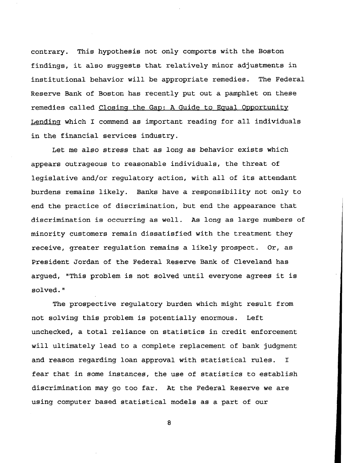**contrary. This hypothesis not only comports with the Boston findings, it also suggests that relatively minor adjustments in institutional behavior will be appropriate remedies. The Federal Reserve Bank of Boston has recently put out a pamphlet on these remedies called Closing the Gap: A Guide to Equal Opportunity Lending which I commend as important reading for all individuals in the financial services industry.**

**Let me also stress that as long as behavior exists which appears outrageous to reasonable individuals, the threat of legislative and/or regulatory action, with all of its attendant burdens remains likely. Banks have a responsibility not only to end the practice of discrimination, but end the appearance that discrimination is occurring as well. As long as large numbers of minority customers remain dissatisfied with the treatment they receive, greater regulation remains a likely prospect. Or, as President Jordan of the Federal Reserve Bank of Cleveland has argued, "This problem is not solved until everyone agrees it is solved."**

**The prospective regulatory burden which might result from not solving this problem is potentially enormous. Left unchecked, a total reliance on statistics in credit enforcement will ultimately lead to a complete replacement of bank judgment and reason regarding loan approval with statistical rules. I fear that in some instances, the use of statistics to establish discrimination may go too far. At the Federal Reserve we are using computer based statistical models as a part of our**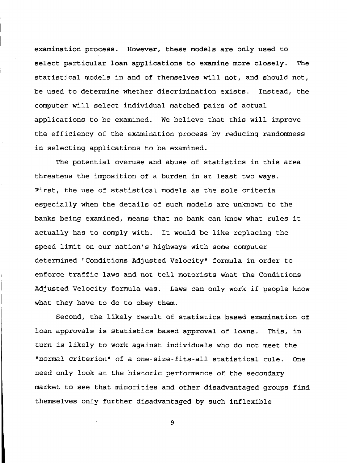**examination process. However, these models are only used to select particular loan applications to examine more closely. The statistical models in and of themselves will not, and should not, be used to determine whether discrimination exists. Instead, the computer will select individual matched pairs of actual applications to be examined. We believe that this will improve the efficiency of the examination process by reducing randomness in selecting applications to be examined.**

**The potential overuse and abuse of statistics in this area threatens the imposition of a burden in at least two ways. First, the use of statistical models as the sole criteria especially when the details of such models are unknown to the banks being examined, means that no bank can know what rules it actually has to comply with. It would be like replacing the speed limit on our nation's highways with some computer determined "Conditions Adjusted Velocity" formula in order to enforce traffic laws and not tell motorists what the Conditions Adjusted Velocity formula was. Laws can only work if people know what they have to do to obey them.**

**Second, the likely result of statistics based examination of loan approvals is statistics based approval of loans. This, in turn is likely to work against individuals who do not meet the "normal criterion" of a one-size-fits-all statistical rule. One need only look at the historic performance of the secondary market to see that minorities and other disadvantaged groups find themselves only further disadvantaged by such inflexible**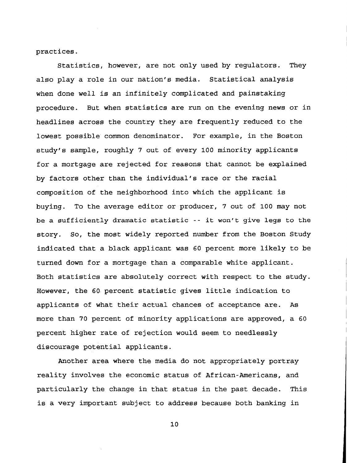**practices.**

**Statistics, however, are not only used by regulators. They also play a role in our nation's media. Statistical analysis when done well is an infinitely complicated and painstaking procedure. But when statistics are run on the evening news or in headlines across the country they are frequently reduced to the lowest possible common denominator. For example, in the Boston study's sample, roughly 7 out of every 100 minority applicants for a mortgage are rejected for reasons that cannot be explained by factors other than the individual's race or the racial composition of the neighborhood into which the applicant is buying. To the average editor or producer, 7 out of 100 may not be a sufficiently dramatic statistic -- it won't give legs to the story. So, the most widely reported number from the Boston Study indicated that a black applicant was 60 percent more likely to be turned down for a mortgage than a comparable white applicant. Both statistics are absolutely correct with respect to the study. However, the 60 percent statistic gives little indication to applicants of what their actual chances of acceptance are. As more than 70 percent of minority applications are approved, a 60 percent higher rate of rejection would seem to needlessly discourage potential applicants.**

**Another area where the media do not appropriately portray reality involves the economic status of African-Americans, and particularly the change in that status in the past decade. This is a very important subject to address because both banking in**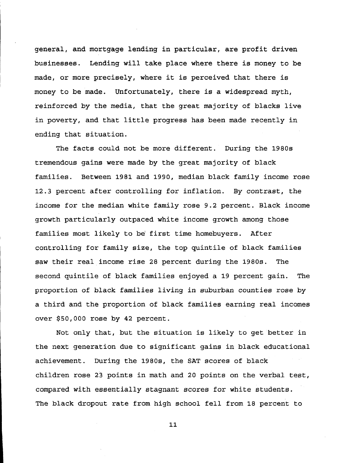**general, and mortgage lending in particular, are profit driven businesses. Lending will take place where there is money to be made, or more precisely, where it is perceived that there is money to be made. Unfortunately, there is a widespread myth, reinforced by the media, that the great majority of blacks live in poverty, and that little progress has been made recently in ending that situation.**

**The facts could not be more different. During the 1980s tremendous gains were made by the great majority of black families. Between 1981 and 1990, median black family income rose 12.3 percent after controlling for inflation. By contrast, the income for the median white family rose 9.2 percent. Black income growth particularly outpaced white income growth among those families most likely to be' first time homebuyers. After controlling for family size, the top quintile of black families saw their real income rise 28 percent during the 1980s. The second quintile of black families enjoyed a 19 percent gain. The proportion of black families living in suburban counties rose by a third and the proportion of black families earning real incomes over \$50,000 rose by 42 percent.**

**Not only that, but the situation is likely to get better in the next generation due to significant gains in black educational achievement. During the 1980s, the SAT scores of black children rose 23 points in math and 20 points on the verbal test, compared with essentially stagnant scores for white students. The black dropout rate from high school fell from 18 percent to**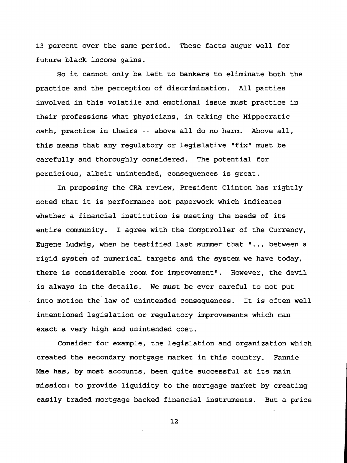**13 percent over the same period. These facts augur well for future black income gains.**

**So it cannot only be left to bankers to eliminate both the practice and the perception of discrimination. All parties involved in this volatile and emotional issue must practice in their professions what physicians, in taking the Hippocratic oath, practice in theirs -- above all do no harm. Above all, this means that any regulatory or legislative "fix" must be carefully and thoroughly considered. The potential for pernicious, albeit unintended, consequences is great.**

**In proposing the CRA review, President Clinton has rightly noted that it is performance not paperwork which indicates whether a financial institution is meeting the needs of its entire community. I agree with the Comptroller of the Currency, Eugene Ludwig, when he testified last summer that "... between a rigid system of numerical targets and the system we have today, there is considerable room for improvement". However, the devil is always in the details. We must be ever careful to not put into motion the law of unintended consequences. It is often well intentioned legislation or regulatory improvements which can exact a very high and unintended cost.**

**Consider for example, the legislation and organization which created the secondary mortgage market in this country. Fannie Mae has, by most accounts, been quite successful at its main mission: to provide liquidity to the mortgage market by creating easily traded mortgage backed financial instruments. But a price**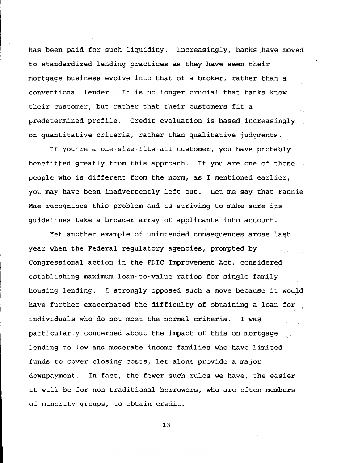**has been paid for such liquidity. Increasingly, banks have moved to standardized lending practices as they have seen their mortgage business evolve into that of a broker, rather than a conventional lender. It is no longer crucial that banks know their customer, but rather that their customers fit a predetermined profile. Credit evaluation is based increasingly on quantitative criteria, rather than qualitative judgments.**

**If you're a one-size-fits-all customer, you have probably benefitted greatly from this approach. If you are one of those people who is different from the norm, as I mentioned earlier, you may have been inadvertently left out. Let me say that Fannie Mae recognizes this problem and is striving to make sure its guidelines take a broader array of applicants into account.**

**Yet another example of unintended consequences arose last year when the Federal regulatory agencies, prompted by Congressional action in the FDIC Improvement Act, considered establishing maximum loan-to-value ratios for single family housing lending. I strongly opposed such a move because it would have further exacerbated the difficulty of obtaining a loan for . individuals who do not meet the normal criteria. I wag particularly concerned about the impact of this on mortgage .... lending to low and moderate income families who have limited funds to cover closing costs, let alone provide a major downpayment. In fact, the fewer such rules we have, the easier it will be for non-traditional borrowers, who are often members of minority groups, to obtain credit.**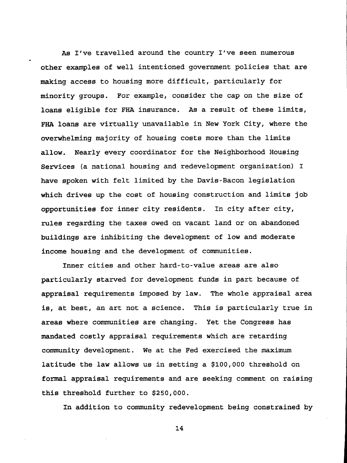**As I've travelled around the country I've seen numerous other examples of well intentioned government policies that are making access to housing more difficult, particularly for minority groups. For example, consider the cap on the size of loans eligible for FHA insurance. As a result of these limits, FHA loans are virtually unavailable in New York City, where the overwhelming majority of housing costs more than the limits allow. Nearly every coordinator for the Neighborhood Housing Services (a national housing and redevelopment organization) I have spoken with felt limited by the Davis-Bacon legislation which drives up the cost of housing construction and limits job opportunities for inner city residents. In city after city, rules regarding the taxes owed on vacant land or on abandoned buildings are inhibiting the development of low and moderate income housing and the development of communities.**

**Inner cities and other hard-to-value areas are also particularly starved for development funds in part because of appraisal requirements imposed by law. The whole appraisal area is, at best, an art not a science. This is particularly true in areas where communities are changing. Yet the Congress has mandated costly appraisal requirements which are retarding community development. We at the Fed exercised the maximum latitude the law allows us in setting a \$100,000 threshold on formal appraisal requirements and are seeking comment on raising this threshold further to \$250,000.**

**In addition to community redevelopment being constrained by**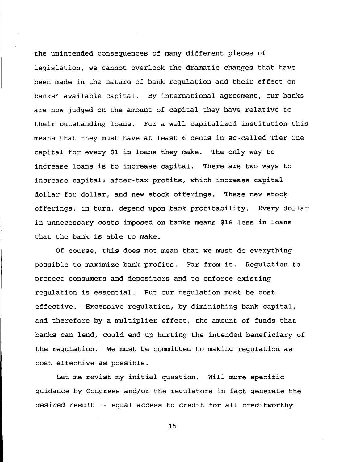**the unintended consequences of many different pieces of legislation, we cannot overlook the dramatic changes that have been made in the nature of bank regulation and their effect on banks' available capital. By international agreement, our banks are now judged on the amount of capital they have relative to their outstanding loans. For a well capitalized institution this means that they must have at least 6 cents in so-called Tier One capital for every \$1 in loans they make. The only way to increase loans is to increase capital. There are two ways to increase capital: after-tax profits, which increase capital dollar for dollar, and new stock offerings. These new stock offerings, in turn, depend upon bank profitability. Every dollar in unnecessary costs imposed on banks means \$16 less in loans that the bank is able to make.**

**Of course, this does not mean that we must do everything possible to maximize bank profits. Far from it. Regulation to protect consumers and depositors and to enforce existing regulation is essential. But our regulation must be cost effective. Excessive regulation, by diminishing bank capital, and therefore by a multiplier effect, the amount of funds that banks can lend, could end up hurting the intended beneficiary of the regulation. We must be committed to making regulation as cost effective as possible.**

**Let me revist my initial question. Will more specific guidance by Congress and/or the regulators in fact generate the desired result -- equal access to credit for all creditworthy**